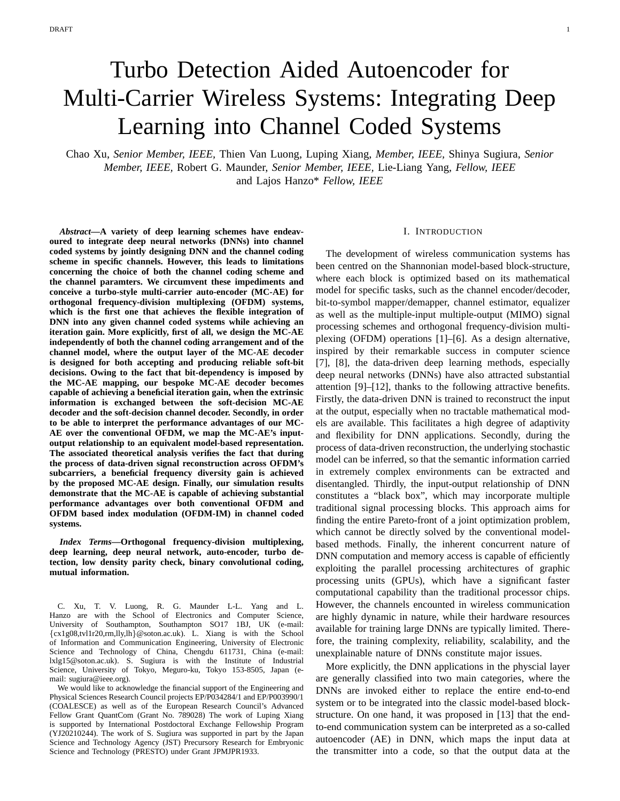# Turbo Detection Aided Autoencoder for Multi-Carrier Wireless Systems: Integrating Deep Learning into Channel Coded Systems

Chao Xu, *Senior Member, IEEE,* Thien Van Luong, Luping Xiang, *Member, IEEE,* Shinya Sugiura, *Senior Member, IEEE,* Robert G. Maunder, *Senior Member, IEEE,* Lie-Liang Yang, *Fellow, IEEE* and Lajos Hanzo\* *Fellow, IEEE*

*Abstract***—A variety of deep learning schemes have endeavoured to integrate deep neural networks (DNNs) into channel coded systems by jointly designing DNN and the channel coding scheme in specific channels. However, this leads to limitations concerning the choice of both the channel coding scheme and the channel paramters. We circumvent these impediments and conceive a turbo-style multi-carrier auto-encoder (MC-AE) for orthogonal frequency-division multiplexing (OFDM) systems, which is the first one that achieves the flexible integration of DNN into any given channel coded systems while achieving an iteration gain. More explicitly, first of all, we design the MC-AE independently of both the channel coding arrangement and of the channel model, where the output layer of the MC-AE decoder is designed for both accepting and producing reliable soft-bit decisions. Owing to the fact that bit-dependency is imposed by the MC-AE mapping, our bespoke MC-AE decoder becomes capable of achieving a beneficial iteration gain, when the extrinsic information is exchanged between the soft-decision MC-AE decoder and the soft-decision channel decoder. Secondly, in order to be able to interpret the performance advantages of our MC-AE over the conventional OFDM, we map the MC-AE's inputoutput relationship to an equivalent model-based representation. The associated theoretical analysis verifies the fact that during the process of data-driven signal reconstruction across OFDM's subcarriers, a beneficial frequency diversity gain is achieved by the proposed MC-AE design. Finally, our simulation results demonstrate that the MC-AE is capable of achieving substantial performance advantages over both conventional OFDM and OFDM based index modulation (OFDM-IM) in channel coded systems.**

*Index Terms***—Orthogonal frequency-division multiplexing, deep learning, deep neural network, auto-encoder, turbo detection, low density parity check, binary convolutional coding, mutual information.**

We would like to acknowledge the financial support of the Engineering and Physical Sciences Research Council projects EP/P034284/1 and EP/P003990/1 (COALESCE) as well as of the European Research Council's Advanced Fellow Grant QuantCom (Grant No. 789028) The work of Luping Xiang is supported by International Postdoctoral Exchange Fellowship Program (YJ20210244). The work of S. Sugiura was supported in part by the Japan Science and Technology Agency (JST) Precursory Research for Embryonic Science and Technology (PRESTO) under Grant JPMJPR1933.

#### I. INTRODUCTION

The development of wireless communication systems has been centred on the Shannonian model-based block-structure, where each block is optimized based on its mathematical model for specific tasks, such as the channel encoder/decoder, bit-to-symbol mapper/demapper, channel estimator, equalizer as well as the multiple-input multiple-output (MIMO) signal processing schemes and orthogonal frequency-division multiplexing (OFDM) operations [1]–[6]. As a design alternative, inspired by their remarkable success in computer science [7], [8], the data-driven deep learning methods, especially deep neural networks (DNNs) have also attracted substantial attention [9]–[12], thanks to the following attractive benefits. Firstly, the data-driven DNN is trained to reconstruct the input at the output, especially when no tractable mathematical models are available. This facilitates a high degree of adaptivity and flexibility for DNN applications. Secondly, during the process of data-driven reconstruction, the underlying stochastic model can be inferred, so that the semantic information carried in extremely complex environments can be extracted and disentangled. Thirdly, the input-output relationship of DNN constitutes a "black box", which may incorporate multiple traditional signal processing blocks. This approach aims for finding the entire Pareto-front of a joint optimization problem, which cannot be directly solved by the conventional modelbased methods. Finally, the inherent concurrent nature of DNN computation and memory access is capable of efficiently exploiting the parallel processing architectures of graphic processing units (GPUs), which have a significant faster computational capability than the traditional processor chips. However, the channels encounted in wireless communication are highly dynamic in nature, while their hardware resources available for training large DNNs are typically limited. Therefore, the training complexity, reliability, scalability, and the unexplainable nature of DNNs constitute major issues.

More explicitly, the DNN applications in the physcial layer are generally classified into two main categories, where the DNNs are invoked either to replace the entire end-to-end system or to be integrated into the classic model-based blockstructure. On one hand, it was proposed in [13] that the endto-end communication system can be interpreted as a so-called autoencoder (AE) in DNN, which maps the input data at the transmitter into a code, so that the output data at the

C. Xu, T. V. Luong, R. G. Maunder L-L. Yang and L. Hanzo are with the School of Electronics and Computer Science, University of Southampton, Southampton SO17 1BJ, UK (e-mail:  $\{c x1g08, tv11r20, rm, lly, lh\}$  @soton.ac.uk). L. Xiang is with the School of Information and Communication Engineering, University of Electronic Science and Technology of China, Chengdu 611731, China (e-mail: lxlg15@soton.ac.uk). S. Sugiura is with the Institute of Industrial Science, University of Tokyo, Meguro-ku, Tokyo 153-8505, Japan (email: sugiura@ieee.org).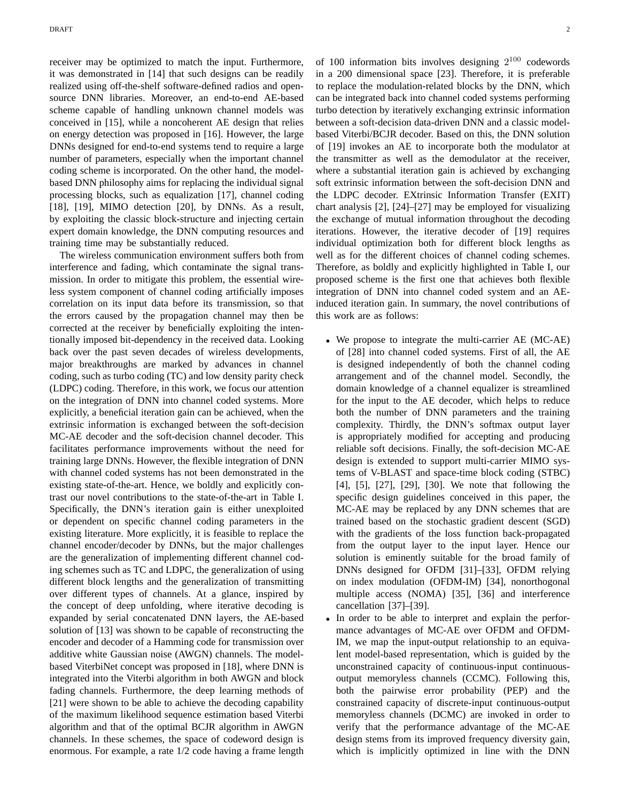receiver may be optimized to match the input. Furthermore, it was demonstrated in [14] that such designs can be readily realized using off-the-shelf software-defined radios and opensource DNN libraries. Moreover, an end-to-end AE-based scheme capable of handling unknown channel models was conceived in [15], while a noncoherent AE design that relies on energy detection was proposed in [16]. However, the large DNNs designed for end-to-end systems tend to require a large number of parameters, especially when the important channel coding scheme is incorporated. On the other hand, the modelbased DNN philosophy aims for replacing the individual signal processing blocks, such as equalization [17], channel coding [18], [19], MIMO detection [20], by DNNs. As a result, by exploiting the classic block-structure and injecting certain expert domain knowledge, the DNN computing resources and training time may be substantially reduced.

The wireless communication environment suffers both from interference and fading, which contaminate the signal transmission. In order to mitigate this problem, the essential wireless system component of channel coding artificially imposes correlation on its input data before its transmission, so that the errors caused by the propagation channel may then be corrected at the receiver by beneficially exploiting the intentionally imposed bit-dependency in the received data. Looking back over the past seven decades of wireless developments, major breakthroughs are marked by advances in channel coding, such as turbo coding (TC) and low density parity check (LDPC) coding. Therefore, in this work, we focus our attention on the integration of DNN into channel coded systems. More explicitly, a beneficial iteration gain can be achieved, when the extrinsic information is exchanged between the soft-decision MC-AE decoder and the soft-decision channel decoder. This facilitates performance improvements without the need for training large DNNs. However, the flexible integration of DNN with channel coded systems has not been demonstrated in the existing state-of-the-art. Hence, we boldly and explicitly contrast our novel contributions to the state-of-the-art in Table I. Specifically, the DNN's iteration gain is either unexploited or dependent on specific channel coding parameters in the existing literature. More explicitly, it is feasible to replace the channel encoder/decoder by DNNs, but the major challenges are the generalization of implementing different channel coding schemes such as TC and LDPC, the generalization of using different block lengths and the generalization of transmitting over different types of channels. At a glance, inspired by the concept of deep unfolding, where iterative decoding is expanded by serial concatenated DNN layers, the AE-based solution of [13] was shown to be capable of reconstructing the encoder and decoder of a Hamming code for transmission over additive white Gaussian noise (AWGN) channels. The modelbased ViterbiNet concept was proposed in [18], where DNN is integrated into the Viterbi algorithm in both AWGN and block fading channels. Furthermore, the deep learning methods of [21] were shown to be able to achieve the decoding capability of the maximum likelihood sequence estimation based Viterbi algorithm and that of the optimal BCJR algorithm in AWGN channels. In these schemes, the space of codeword design is enormous. For example, a rate 1/2 code having a frame length

of 100 information bits involves designing  $2^{100}$  codewords in a 200 dimensional space [23]. Therefore, it is preferable to replace the modulation-related blocks by the DNN, which can be integrated back into channel coded systems performing turbo detection by iteratively exchanging extrinsic information between a soft-decision data-driven DNN and a classic modelbased Viterbi/BCJR decoder. Based on this, the DNN solution of [19] invokes an AE to incorporate both the modulator at the transmitter as well as the demodulator at the receiver, where a substantial iteration gain is achieved by exchanging soft extrinsic information between the soft-decision DNN and the LDPC decoder. EXtrinsic Information Transfer (EXIT) chart analysis [2], [24]–[27] may be employed for visualizing the exchange of mutual information throughout the decoding iterations. However, the iterative decoder of [19] requires individual optimization both for different block lengths as well as for the different choices of channel coding schemes. Therefore, as boldly and explicitly highlighted in Table I, our proposed scheme is the first one that achieves both flexible integration of DNN into channel coded system and an AEinduced iteration gain. In summary, the novel contributions of this work are as follows:

- We propose to integrate the multi-carrier AE (MC-AE) of [28] into channel coded systems. First of all, the AE is designed independently of both the channel coding arrangement and of the channel model. Secondly, the domain knowledge of a channel equalizer is streamlined for the input to the AE decoder, which helps to reduce both the number of DNN parameters and the training complexity. Thirdly, the DNN's softmax output layer is appropriately modified for accepting and producing reliable soft decisions. Finally, the soft-decision MC-AE design is extended to support multi-carrier MIMO systems of V-BLAST and space-time block coding (STBC) [4], [5], [27], [29], [30]. We note that following the specific design guidelines conceived in this paper, the MC-AE may be replaced by any DNN schemes that are trained based on the stochastic gradient descent (SGD) with the gradients of the loss function back-propagated from the output layer to the input layer. Hence our solution is eminently suitable for the broad family of DNNs designed for OFDM [31]–[33], OFDM relying on index modulation (OFDM-IM) [34], nonorthogonal multiple access (NOMA) [35], [36] and interference cancellation [37]–[39].
- In order to be able to interpret and explain the performance advantages of MC-AE over OFDM and OFDM-IM, we map the input-output relationship to an equivalent model-based representation, which is guided by the unconstrained capacity of continuous-input continuousoutput memoryless channels (CCMC). Following this, both the pairwise error probability (PEP) and the constrained capacity of discrete-input continuous-output memoryless channels (DCMC) are invoked in order to verify that the performance advantage of the MC-AE design stems from its improved frequency diversity gain, which is implicitly optimized in line with the DNN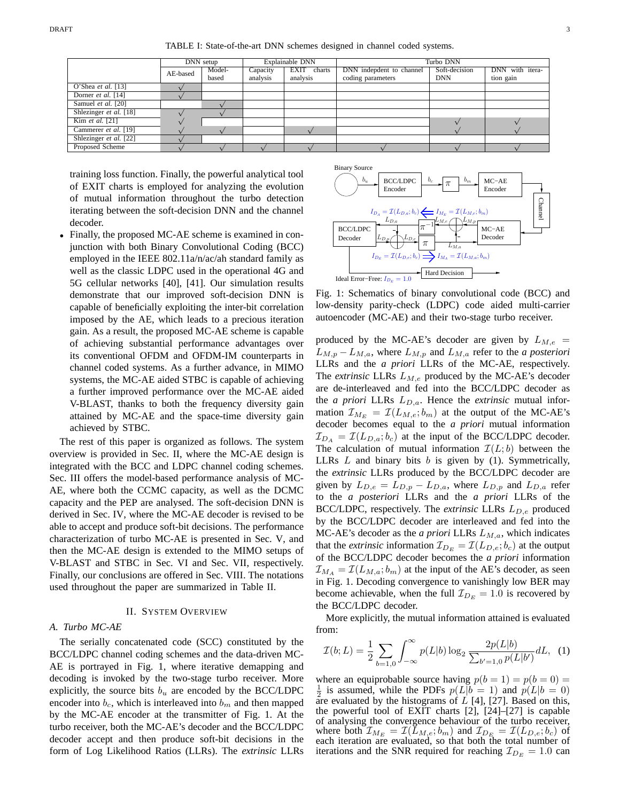TABLE I: State-of-the-art DNN schemes designed in channel coded systems.

|                             | DNN setup |        | Explainable DNN |             | Turbo DNN                |               |                 |
|-----------------------------|-----------|--------|-----------------|-------------|--------------------------|---------------|-----------------|
|                             | AE-based  | Model- | Capacity        | EXIT charts | DNN indepdent to channel | Soft-decision | DNN with itera- |
|                             |           | based  | analysis        | analysis    | coding parameters        | <b>DNN</b>    | tion gain       |
| O'Shea et al. $[13]$        |           |        |                 |             |                          |               |                 |
| Dorner <i>et al.</i> $[14]$ |           |        |                 |             |                          |               |                 |
| Samuel et al. [20]          |           |        |                 |             |                          |               |                 |
| Shlezinger et al. [18]      |           |        |                 |             |                          |               |                 |
| Kim et al. [21]             |           |        |                 |             |                          |               |                 |
| Cammerer et al. [19]        |           |        |                 |             |                          |               |                 |
| Shlezinger et al. [22]      |           |        |                 |             |                          |               |                 |
| Proposed Scheme             |           |        |                 |             |                          |               |                 |

training loss function. Finally, the powerful analytical tool of EXIT charts is employed for analyzing the evolution of mutual information throughout the turbo detection iterating between the soft-decision DNN and the channel decoder.

• Finally, the proposed MC-AE scheme is examined in conjunction with both Binary Convolutional Coding (BCC) employed in the IEEE 802.11a/n/ac/ah standard family as well as the classic LDPC used in the operational 4G and 5G cellular networks [40], [41]. Our simulation results demonstrate that our improved soft-decision DNN is capable of beneficially exploiting the inter-bit correlation imposed by the AE, which leads to a precious iteration gain. As a result, the proposed MC-AE scheme is capable of achieving substantial performance advantages over its conventional OFDM and OFDM-IM counterparts in channel coded systems. As a further advance, in MIMO systems, the MC-AE aided STBC is capable of achieving a further improved performance over the MC-AE aided V-BLAST, thanks to both the frequency diversity gain attained by MC-AE and the space-time diversity gain achieved by STBC.

The rest of this paper is organized as follows. The system overview is provided in Sec. II, where the MC-AE design is integrated with the BCC and LDPC channel coding schemes. Sec. III offers the model-based performance analysis of MC-AE, where both the CCMC capacity, as well as the DCMC capacity and the PEP are analysed. The soft-decision DNN is derived in Sec. IV, where the MC-AE decoder is revised to be able to accept and produce soft-bit decisions. The performance characterization of turbo MC-AE is presented in Sec. V, and then the MC-AE design is extended to the MIMO setups of V-BLAST and STBC in Sec. VI and Sec. VII, respectively. Finally, our conclusions are offered in Sec. VIII. The notations used throughout the paper are summarized in Table II.

# II. SYSTEM OVERVIEW

#### *A. Turbo MC-AE*

The serially concatenated code (SCC) constituted by the BCC/LDPC channel coding schemes and the data-driven MC-AE is portrayed in Fig. 1, where iterative demapping and decoding is invoked by the two-stage turbo receiver. More explicitly, the source bits  $b<sub>u</sub>$  are encoded by the BCC/LDPC encoder into  $b_c$ , which is interleaved into  $b_m$  and then mapped by the MC-AE encoder at the transmitter of Fig. 1. At the turbo receiver, both the MC-AE's decoder and the BCC/LDPC decoder accept and then produce soft-bit decisions in the form of Log Likelihood Ratios (LLRs). The *extrinsic* LLRs



Fig. 1: Schematics of binary convolutional code (BCC) and low-density parity-check (LDPC) code aided multi-carrier autoencoder (MC-AE) and their two-stage turbo receiver.

produced by the MC-AE's decoder are given by  $L_{M,e}$  =  $L_{M,p} - L_{M,a}$ , where  $L_{M,p}$  and  $L_{M,a}$  refer to the *a posteriori* LLRs and the *a priori* LLRs of the MC-AE, respectively. The *extrinsic* LLRs  $L_{M,e}$  produced by the MC-AE's decoder are de-interleaved and fed into the BCC/LDPC decoder as the *a priori* LLRs  $L_{D,a}$ . Hence the *extrinsic* mutual information  $\mathcal{I}_{M_E} = \mathcal{I}(L_{M,e}; b_m)$  at the output of the MC-AE's decoder becomes equal to the *a priori* mutual information  $\mathcal{I}_{DA} = \mathcal{I}(L_{D,a}; b_c)$  at the input of the BCC/LDPC decoder. The calculation of mutual information  $\mathcal{I}(L; b)$  between the LLRs  $L$  and binary bits  $b$  is given by (1). Symmetrically, the *extrinsic* LLRs produced by the BCC/LDPC decoder are given by  $L_{D,e} = L_{D,p} - L_{D,a}$ , where  $L_{D,p}$  and  $L_{D,a}$  refer to the *a posteriori* LLRs and the *a priori* LLRs of the BCC/LDPC, respectively. The *extrinsic* LLRs  $L_{D,e}$  produced by the BCC/LDPC decoder are interleaved and fed into the MC-AE's decoder as the *a priori* LLRs  $L_{M,a}$ , which indicates that the *extrinsic* information  $\mathcal{I}_{D_E} = \mathcal{I}(L_{D,e}; b_c)$  at the output of the BCC/LDPC decoder becomes the *a priori* information  $\mathcal{I}_{M_A} = \mathcal{I}(L_{M,a}; b_m)$  at the input of the AE's decoder, as seen in Fig. 1. Decoding convergence to vanishingly low BER may become achievable, when the full  $\mathcal{I}_{D_E} = 1.0$  is recovered by the BCC/LDPC decoder.

More explicitly, the mutual information attained is evaluated from:

$$
\mathcal{I}(b;L) = \frac{1}{2} \sum_{b=1,0} \int_{-\infty}^{\infty} p(L|b) \log_2 \frac{2p(L|b)}{\sum_{b'=1,0} p(L|b')} dL, \tag{1}
$$

where an equiprobable source having  $p(b = 1) = p(b = 0)$  $\frac{1}{2}$ <sup>2</sup> <sup>2</sup> <sup>2</sup> as assumed, while the 1 *D*<sub>1</sub> <sup>3</sup>  $p(E|0 - 1)$  and  $p(E|0 - 0)$  are evaluated by the histograms of *L* [4], [27]. Based on this, is assumed, while the PDFs  $p(L|b = 1)$  and  $p(L|b = 0)$ the powerful tool of EXIT charts [2], [24]–[27] is capable of analysing the convergence behaviour of the turbo receiver, where both  $\mathcal{I}_{M_E} = \mathcal{I}(L_{M,e}; b_m)$  and  $\mathcal{I}_{D_E} = \mathcal{I}(L_{D,e}; b_c)$  of each iteration are evaluated, so that both the total number of iterations and the SNR required for reaching  $\mathcal{I}_{D_E} = 1.0$  can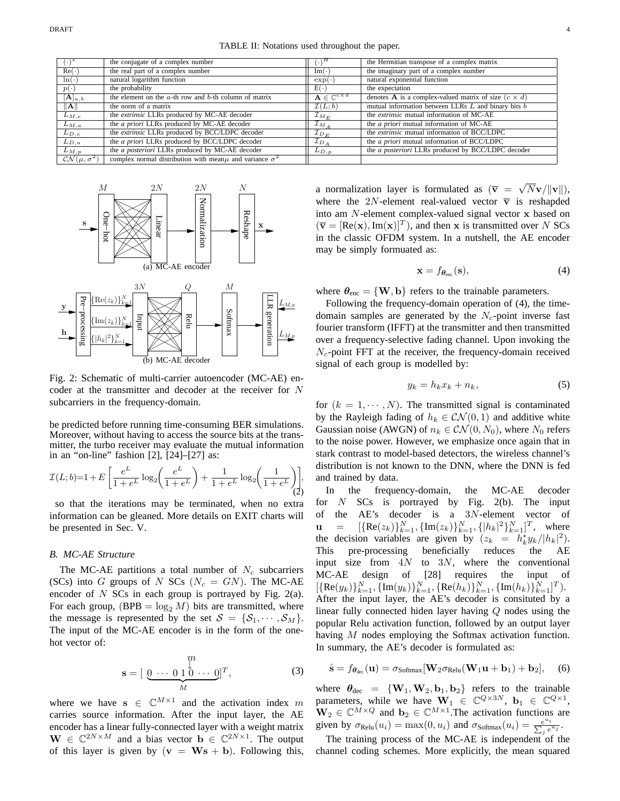| $(\cdot)^*$                  | the conjugate of a complex number                                   | $(\cdot)^H$                              | the Hermitian transpose of a complex matrix                        |
|------------------------------|---------------------------------------------------------------------|------------------------------------------|--------------------------------------------------------------------|
| $Re(\cdot)$                  | the real part of a complex number                                   | Im(·)                                    | the imaginary part of a complex number                             |
| $\ln(\cdot)$                 | natural logarithm function                                          | $\exp(\cdot)$                            | natural exponential function                                       |
| $p(\cdot)$                   | the probability                                                     | $E(\cdot)$                               | the expectation                                                    |
| $[\mathbf{A}]_{a,b}$         | the element on the $a$ -th row and $b$ -th column of matrix         | $\mathbf{A} \in \mathbb{C}^{c \times d}$ | denotes <b>A</b> is a complex-valued matrix of size $(c \times d)$ |
| $\parallel$ A $\parallel$    | the norm of a matrix                                                | $\mathcal{I}(L;b)$                       | mutual information between LLRs $L$ and binary bits $b$            |
| $L_{M,e}$                    | the extrinsic LLRs produced by MC-AE decoder                        | $\mathcal{L}_{M_E}$                      | the <i>extrinsic</i> mutual information of MC-AE                   |
| $L_{M,a}$                    | the <i>a priori</i> LLRs produced by MC-AE decoder                  | ${\cal I}_{M_A}$                         | the <i>a priori</i> mutual information of MC-AE                    |
| $L_{D,e}$                    | the extrinsic LLRs produced by BCC/LDPC decoder                     | $\mathcal{I}_{D_E}$                      | the <i>extrinsic</i> mutual information of BCC/LDPC                |
| $L_{D,a}$                    | the <i>a priori</i> LLRs produced by BCC/LDPC decoder               | $\mathcal{I}_{D_A}$                      | the <i>a priori</i> mutual information of BCC/LDPC                 |
| $L_{M,p}$                    | the a posteriori LLRs produced by MC-AE decoder                     | $L_{D,p}$                                | the a posteriori LLRs produced by BCC/LDPC decoder                 |
| $\mathcal{CN}(\mu,\sigma^2)$ | complex normal distribution with mean $\mu$ and variance $\sigma^2$ |                                          |                                                                    |



Fig. 2: Schematic of multi-carrier autoencoder (MC-AE) encoder at the transmitter and decoder at the receiver for N subcarriers in the frequency-domain.

be predicted before running time-consuming BER simulations. Moreover, without having to access the source bits at the transmitter, the turbo receiver may evaluate the mutual information in an "on-line" fashion [2], [24]–[27] as:

$$
\mathcal{I}(L;b)=1+E\left[\frac{e^L}{1+e^L}\log_2\!\left(\frac{e^L}{1+e^L}\right)+\frac{1}{1+e^L}\log_2\!\left(\frac{1}{1+e^L}\right)\right],\,
$$

so that the iterations may be terminated, when no extra information can be gleaned. More details on EXIT charts will be presented in Sec. V.

#### *B. MC-AE Structure*

The MC-AE partitions a total number of  $N_c$  subcarriers (SCs) into G groups of N SCs ( $N_c = GN$ ). The MC-AE encoder of  $N$  SCs in each group is portrayed by Fig. 2(a). For each group,  $(BPB = log_2 M)$  bits are transmitted, where the message is represented by the set  $S = \{S_1, \dots, S_M\}.$ The input of the MC-AE encoder is in the form of the onehot vector of:

$$
\mathbf{s} = [\underbrace{0 \cdots 0 \stackrel{\eta}{1 \stackrel{\eta}{0}} \cdots 0}_{M}]^{T}, \tag{3}
$$

where we have  $s \in \mathbb{C}^{M \times 1}$  and the activation index m carries source information. After the input layer, the AE encoder has a linear fully-connected layer with a weight matrix  $\mathbf{W} \in \mathbb{C}^{2N \times M}$  and a bias vector  $\mathbf{b} \in \mathbb{C}^{2N \times 1}$ . The output of this layer is given by  $(v = Ws + b)$ . Following this,

a normalization layer is formulated as  $(\bar{v} = \sqrt{N}v/\Vert v \Vert)$ , where the 2N-element real-valued vector  $\overline{v}$  is reshapded into am N-element complex-valued signal vector x based on  $(\overline{\mathbf{v}} = [\text{Re}(\mathbf{x}), \text{Im}(\mathbf{x})]^T)$ , and then x is transmitted over N SCs in the classic OFDM system. In a nutshell, the AE encoder may be simply formuated as:

$$
\mathbf{x} = f_{\boldsymbol{\theta}_{\text{enc}}}(\mathbf{s}),\tag{4}
$$

where  $\theta_{\text{enc}} = {\text{W}, \text{b}}$  refers to the trainable parameters.

Following the frequency-domain operation of (4), the timedomain samples are generated by the  $N_c$ -point inverse fast fourier transform (IFFT) at the transmitter and then transmitted over a frequency-selective fading channel. Upon invoking the  $N_c$ -point FFT at the receiver, the frequency-domain received signal of each group is modelled by:

$$
y_k = h_k x_k + n_k, \tag{5}
$$

for  $(k = 1, \dots, N)$ . The transmitted signal is contaminated by the Rayleigh fading of  $h_k \in \mathcal{CN}(0,1)$  and additive white Gaussian noise (AWGN) of  $n_k \in \mathcal{CN}(0, N_0)$ , where  $N_0$  refers to the noise power. However, we emphasize once again that in stark contrast to model-based detectors, the wireless channel's distribution is not known to the DNN, where the DNN is fed and trained by data.

In the frequency-domain, the MC-AE decoder for  $N$  SCs is portrayed by Fig. 2(b). The input of the AE's decoder is a 3N-element vector of  $\mathbf{u} = [\{\text{Re}(z_k)\}_{k=1}^N, \{\text{Im}(z_k)\}_{k=1}^N, \{\text{Re}(z_k)\}_{k=1}^N]^T$ , where the decision variables are given by  $(z_k = h_k^* y_k/|h_k|^2)$ . This pre-processing beneficially reduces the AE input size from  $4N$  to  $3N$ , where the conventional MC-AE design of [28] requires the input of  $\{\text{Re}(y_k)\}_{k=1}^N, \{\text{Im}(y_k)\}_{k=1}^N, \{\text{Re}(h_k)\}_{k=1}^N, \{\text{Im}(h_k)\}_{k=1}^N]^T$ ). After the input layer, the AE's decoder is consituted by a linear fully connected hiden layer having Q nodes using the popular Relu activation function, followed by an output layer having M nodes employing the Softmax activation function. In summary, the AE's decoder is formulated as:

$$
\hat{\mathbf{s}} = f_{\boldsymbol{\theta}_{\text{dec}}}(\mathbf{u}) = \sigma_{\text{Softmax}}[\mathbf{W}_2 \sigma_{\text{Relu}}(\mathbf{W}_1 \mathbf{u} + \mathbf{b}_1) + \mathbf{b}_2], \quad (6)
$$

where  $\theta_{\text{dec}} = {\mathbf{W}_1, \mathbf{W}_2, \mathbf{b}_1, \mathbf{b}_2}$  refers to the trainable parameters, while we have  $\mathbf{W}_1 \in \mathbb{C}^{Q \times 3N}$ ,  $\mathbf{b}_1 \in \mathbb{C}^{Q \times 1}$ ,  $\mathbf{W}_2 \in \mathbb{C}^{M \times Q}$  and  $\mathbf{b}_2 \in \mathbb{C}^{M \times 1}$ . The activation functions are given by  $\sigma_{\text{Relu}}(u_i) = \max(0, u_i)$  and  $\sigma_{\text{Softmax}}(u_i) = \frac{e^{u_i}}{\sum_i e_i}$  $\frac{e^{u_i}}{e^{u_j}}$ .

The training process of the MC-AE is independent of the channel coding schemes. More explicitly, the mean squared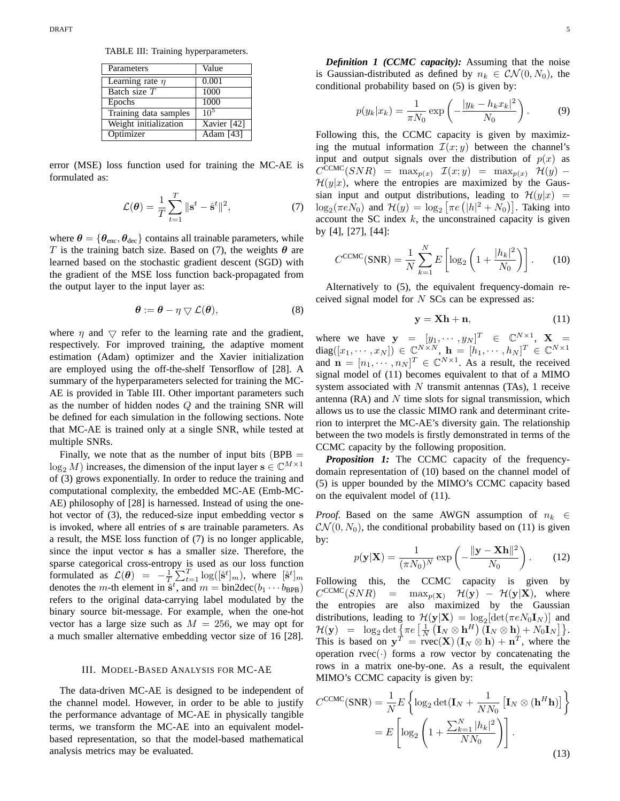TABLE III: Training hyperparameters.

| Parameters            | Value       |
|-----------------------|-------------|
| Learning rate $\eta$  | 0.001       |
| Batch size $T$        | 1000        |
| Epochs                | 1000        |
| Training data samples | $10^{5}$    |
| Weight initialization | Xavier [42] |
| Optimizer             | Adam [43]   |

error (MSE) loss function used for training the MC-AE is formulated as:

$$
\mathcal{L}(\boldsymbol{\theta}) = \frac{1}{T} \sum_{t=1}^{T} \|\mathbf{s}^t - \hat{\mathbf{s}}^t\|^2, \tag{7}
$$

where  $\theta = \{\theta_{\text{enc}}, \theta_{\text{dec}}\}$  contains all trainable parameters, while T is the training batch size. Based on (7), the weights  $\theta$  are learned based on the stochastic gradient descent (SGD) with the gradient of the MSE loss function back-propagated from the output layer to the input layer as:

$$
\boldsymbol{\theta} := \boldsymbol{\theta} - \eta \bigtriangledown \mathcal{L}(\boldsymbol{\theta}), \tag{8}
$$

where  $\eta$  and  $\bigtriangledown$  refer to the learning rate and the gradient, respectively. For improved training, the adaptive moment estimation (Adam) optimizer and the Xavier initialization are employed using the off-the-shelf Tensorflow of [28]. A summary of the hyperparameters selected for training the MC-AE is provided in Table III. Other important parameters such as the number of hidden nodes Q and the training SNR will be defined for each simulation in the following sections. Note that MC-AE is trained only at a single SNR, while tested at multiple SNRs.

Finally, we note that as the number of input bits  $(BPB =$  $\log_2 M$ ) increases, the dimension of the input layer  $s \in \mathbb{C}^{M \times 1}$ of (3) grows exponentially. In order to reduce the training and computational complexity, the embedded MC-AE (Emb-MC-AE) philosophy of [28] is harnessed. Instead of using the onehot vector of (3), the reduced-size input embedding vector s is invoked, where all entries of s are trainable parameters. As a result, the MSE loss function of (7) is no longer applicable, since the input vector s has a smaller size. Therefore, the sparse categorical cross-entropy is used as our loss function formulated as  $\mathcal{L}(\theta) = -\frac{1}{T} \sum_{t=1}^{T} \log([\hat{\mathbf{s}}^t]_m)$ , where  $[\hat{\mathbf{s}}^t]_m$ denotes the *m*-th element in  $\hat{s}^t$ , and  $m = bin2dec(b_1 \cdots b_{BPB})$ refers to the original data-carrying label modulated by the binary source bit-message. For example, when the one-hot vector has a large size such as  $M = 256$ , we may opt for a much smaller alternative embedding vector size of 16 [28].

#### III. MODEL-BASED ANALYSIS FOR MC-AE

The data-driven MC-AE is designed to be independent of the channel model. However, in order to be able to justify the performance advantage of MC-AE in physically tangible terms, we transform the MC-AE into an equivalent modelbased representation, so that the model-based mathematical analysis metrics may be evaluated.

*Definition 1 (CCMC capacity):* Assuming that the noise is Gaussian-distributed as defined by  $n_k \in \mathcal{CN}(0,N_0)$ , the conditional probability based on (5) is given by:

$$
p(y_k|x_k) = \frac{1}{\pi N_0} \exp\left(-\frac{|y_k - h_k x_k|^2}{N_0}\right).
$$
 (9)

Following this, the CCMC capacity is given by maximizing the mutual information  $\mathcal{I}(x; y)$  between the channel's input and output signals over the distribution of  $p(x)$  as  $C^{CCMC}(SNR)$  = max<sub>p(x)</sub>  $\mathcal{I}(x; y)$  = max<sub>p(x)</sub>  $\mathcal{H}(y)$  –  $\mathcal{H}(y|x)$ , where the entropies are maximized by the Gaussian input and output distributions, leading to  $\mathcal{H}(y|x)$  =  $\log_2(\pi e N_0)$  and  $\mathcal{H}(y) = \log_2 [\pi e (|h|^2 + N_0)].$  Taking into account the SC index  $k$ , the unconstrained capacity is given by [4], [27], [44]:

$$
C^{\text{CCMC}}(\text{SNR}) = \frac{1}{N} \sum_{k=1}^{N} E\left[ \log_2 \left( 1 + \frac{|h_k|^2}{N_0} \right) \right].
$$
 (10)

Alternatively to (5), the equivalent frequency-domain received signal model for  $N$  SCs can be expressed as:

$$
y = Xh + n,\tag{11}
$$

where we have  $\mathbf{y} = [y_1, \dots, y_N]^T \in \mathbb{C}^{N \times 1}$ ,  $\mathbf{X} =$ diag $([x_1, \dots, x_N]) \in \mathbb{C}^{N \times N}, \mathbf{h} = [h_1, \dots, h_N]^T \in \mathbb{C}^{N \times 1}$ and  $\mathbf{n} = [n_1, \dots, n_N]^T \in \mathbb{C}^{N \times 1}$ . As a result, the received signal model of (11) becomes equivalent to that of a MIMO system associated with  $N$  transmit antennas (TAs), 1 receive antenna (RA) and  $N$  time slots for signal transmission, which allows us to use the classic MIMO rank and determinant criterion to interpret the MC-AE's diversity gain. The relationship between the two models is firstly demonstrated in terms of the CCMC capacity by the following proposition.

*Proposition 1:* The CCMC capacity of the frequencydomain representation of (10) based on the channel model of (5) is upper bounded by the MIMO's CCMC capacity based on the equivalent model of (11).

*Proof.* Based on the same AWGN assumption of  $n_k \in$  $\mathcal{CN}(0,N_0)$ , the conditional probability based on (11) is given by:

$$
p(\mathbf{y}|\mathbf{X}) = \frac{1}{(\pi N_0)^N} \exp\left(-\frac{\|\mathbf{y} - \mathbf{X}\mathbf{h}\|^2}{N_0}\right).
$$
 (12)

Following this, the CCMC capacity is given by  $C^{\text{CCMC}}(SNR)$  $=$  max<sub>p(X)</sub>  $\mathcal{H}(\mathbf{y}) - \mathcal{H}(\mathbf{y}|\mathbf{X})$ , where the entropies are also maximized by the Gaussian distributions, leading to  $\mathcal{H}(\mathbf{y}|\mathbf{X}) = \log_2[\det(\pi e N_0 \mathbf{I}_N)]$  and  $\mathcal{H}(\mathbf{y}) = \log_2 \det \left\{ \pi e \left[ \frac{1}{N} \left( \mathbf{I}_N \otimes \mathbf{h}^H \right) (\mathbf{I}_N \otimes \mathbf{h}) + N_0 \mathbf{I}_N \right] \right\}.$ This is based on  $y^T = r \text{vec}(\mathbf{X}) (\mathbf{I}_N \otimes \mathbf{h}) + \mathbf{n}^T$ , where the operation rvec $(\cdot)$  forms a row vector by concatenating the rows in a matrix one-by-one. As a result, the equivalent MIMO's CCMC capacity is given by:

$$
C^{CCMC}(\text{SNR}) = \frac{1}{N} E \left\{ \log_2 \det(\mathbf{I}_N + \frac{1}{NN_0} \left[ \mathbf{I}_N \otimes (\mathbf{h}^H \mathbf{h}) \right] \right\}
$$

$$
= E \left[ \log_2 \left( 1 + \frac{\sum_{k=1}^N |h_k|^2}{NN_0} \right) \right].
$$
(13)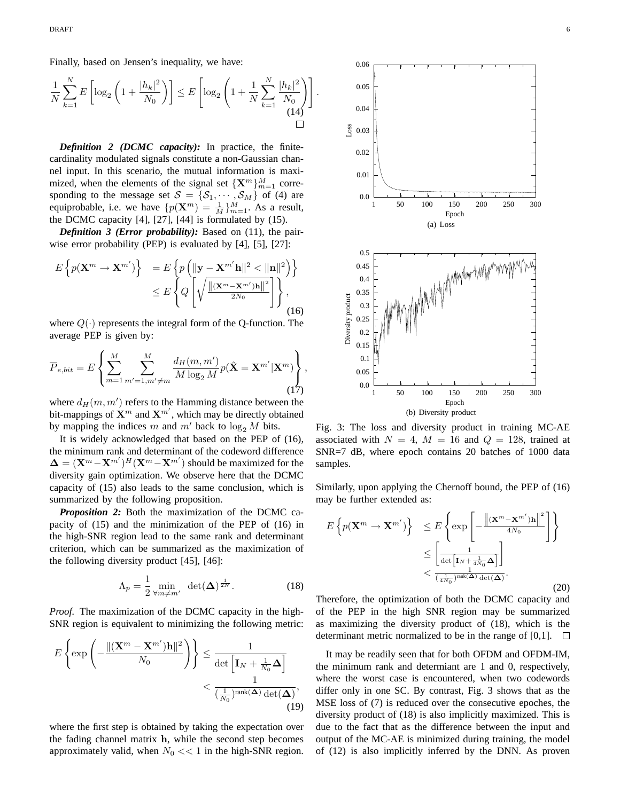Finally, based on Jensen's inequality, we have:

$$
\frac{1}{N} \sum_{k=1}^{N} E\left[ \log_2 \left( 1 + \frac{|h_k|^2}{N_0} \right) \right] \le E\left[ \log_2 \left( 1 + \frac{1}{N} \sum_{k=1}^{N} \frac{|h_k|^2}{N_0} \right) \right]
$$
\n(14)

.

*Definition 2 (DCMC capacity):* In practice, the finitecardinality modulated signals constitute a non-Gaussian channel input. In this scenario, the mutual information is maximized, when the elements of the signal set  $\{X^m\}_{m=1}^M$  corresponding to the message set  $S = \{S_1, \dots, S_M\}$  of (4) are equiprobable, i.e. we have  $\{p(\mathbf{X}^m) = \frac{1}{M}\}_{m=1}^M$ . As a result, the DCMC capacity [4], [27], [44] is formulated by (15).

*Definition 3 (Error probability):* Based on (11), the pairwise error probability (PEP) is evaluated by [4], [5], [27]:

$$
E\left\{p(\mathbf{X}^m \to \mathbf{X}^{m'})\right\} = E\left\{p\left(\|\mathbf{y} - \mathbf{X}^{m'}\mathbf{h}\|^2 < \|\mathbf{n}\|^2\right)\right\}
$$

$$
\leq E\left\{Q\left[\sqrt{\frac{\|(\mathbf{X}^m - \mathbf{X}^{m'})\mathbf{h}\|^2}{2N_0}}\right]\right\},\tag{16}
$$

where  $Q(\cdot)$  represents the integral form of the Q-function. The average PEP is given by:

$$
\overline{P}_{e,bit} = E\left\{\sum_{m=1}^{M} \sum_{m'=1,m'\neq m}^{M} \frac{d_H(m,m')}{M \log_2 M} p(\hat{\mathbf{X}} = \mathbf{X}^{m'} | \mathbf{X}^{m})\right\},\tag{17}
$$

where  $d_H(m, m')$  refers to the Hamming distance between the bit-mappings of  $\mathbf{X}^m$  and  $\mathbf{X}^{m'}$ , which may be directly obtained by mapping the indices m and  $m'$  back to  $\log_2 M$  bits.

It is widely acknowledged that based on the PEP of (16), the minimum rank and determinant of the codeword difference  $\mathbf{\Delta} = (\mathbf{X}^m - \mathbf{X}^{m'})^H (\mathbf{X}^m - \mathbf{X}^{m'})$  should be maximized for the diversity gain optimization. We observe here that the DCMC capacity of (15) also leads to the same conclusion, which is summarized by the following proposition.

*Proposition 2:* Both the maximization of the DCMC capacity of (15) and the minimization of the PEP of (16) in the high-SNR region lead to the same rank and determinant criterion, which can be summarized as the maximization of the following diversity product [45], [46]:

$$
\Lambda_p = \frac{1}{2} \min_{\forall m \neq m'} \ \det(\Delta)^{\frac{1}{2N}}.
$$
 (18)

*Proof.* The maximization of the DCMC capacity in the high-SNR region is equivalent to minimizing the following metric:

$$
E\left\{\exp\left(-\frac{\|(\mathbf{X}^m - \mathbf{X}^{m'})\mathbf{h}\|^2}{N_0}\right)\right\} \le \frac{1}{\det\left[\mathbf{I}_N + \frac{1}{N_0}\boldsymbol{\Delta}\right]}
$$

$$
< \frac{1}{(\frac{1}{N_0})^{\text{rank}(\boldsymbol{\Delta})}\det(\boldsymbol{\Delta})},\tag{19}
$$

where the first step is obtained by taking the expectation over the fading channel matrix h, while the second step becomes approximately valid, when  $N_0 \ll 1$  in the high-SNR region.



Fig. 3: The loss and diversity product in training MC-AE associated with  $N = 4$ ,  $M = 16$  and  $Q = 128$ , trained at SNR=7 dB, where epoch contains 20 batches of 1000 data samples.

Similarly, upon applying the Chernoff bound, the PEP of (16) may be further extended as:

$$
E\left\{p(\mathbf{X}^m \to \mathbf{X}^{m'})\right\} \leq E\left\{\exp\left[-\frac{\left\|(\mathbf{X}^m - \mathbf{X}^{m'})\mathbf{h}\right\|^2}{4N_0}\right]\right\}
$$

$$
\leq \left[\frac{1}{\det\left[\mathbf{I}_N + \frac{1}{4N_0}\boldsymbol{\Delta}\right]}\right]
$$

$$
< \frac{1}{\left(\frac{1}{4N_0}\right)^{\text{rank}(\boldsymbol{\Delta})}\det(\boldsymbol{\Delta})}. \tag{20}
$$

Therefore, the optimization of both the DCMC capacity and of the PEP in the high SNR region may be summarized as maximizing the diversity product of (18), which is the determinant metric normalized to be in the range of [0,1].  $\Box$ 

It may be readily seen that for both OFDM and OFDM-IM, the minimum rank and determiant are 1 and 0, respectively, where the worst case is encountered, when two codewords differ only in one SC. By contrast, Fig. 3 shows that as the MSE loss of (7) is reduced over the consecutive epoches, the diversity product of (18) is also implicitly maximized. This is due to the fact that as the difference between the input and output of the MC-AE is minimized during training, the model of (12) is also implicitly inferred by the DNN. As proven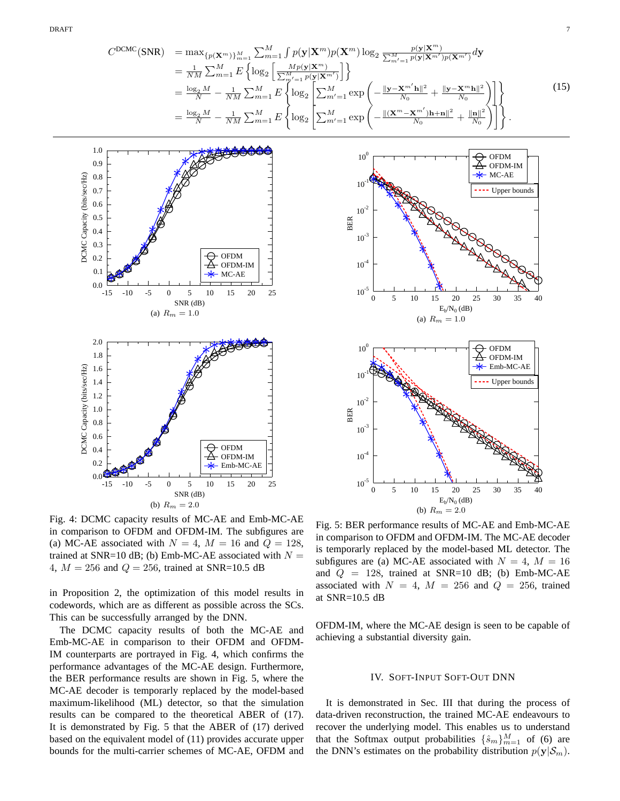$$
C^{\text{DCMC}}(\text{SNR}) = \max_{\{p(\mathbf{X}^m)\}_{m=1}^M} \sum_{m=1}^M \int p(\mathbf{y}|\mathbf{X}^m) p(\mathbf{X}^m) \log_2 \frac{p(\mathbf{y}|\mathbf{X}^m)}{\sum_{m'=1}^M p(\mathbf{y}|\mathbf{X}^{m'})p(\mathbf{X}^{m'})} d\mathbf{y}
$$
  
\n
$$
= \frac{1}{NM} \sum_{m=1}^M E\left\{ \log_2 \left[ \frac{Mp(\mathbf{y}|\mathbf{X}^m)}{\sum_{m'=1}^M p(\mathbf{y}|\mathbf{X}^{m'})} \right] \right\}
$$
  
\n
$$
= \frac{\log_2 M}{N} - \frac{1}{NM} \sum_{m=1}^M E\left\{ \log_2 \left[ \sum_{m'=1}^M \exp\left( -\frac{\|\mathbf{y} - \mathbf{X}^{m'}\mathbf{h}\|^2}{N_0} + \frac{\|\mathbf{y} - \mathbf{X}^m\mathbf{h}\|^2}{N_0} \right) \right] \right\}
$$
  
\n
$$
= \frac{\log_2 M}{N} - \frac{1}{NM} \sum_{m=1}^M E\left\{ \log_2 \left[ \sum_{m'=1}^M \exp\left( -\frac{\|(\mathbf{X}^m - \mathbf{X}^m')\mathbf{h} + \mathbf{n}\|^2}{N_0} + \frac{\|\mathbf{n}\|^2}{N_0} \right) \right] \right\}.
$$
 (15)



Fig. 4: DCMC capacity results of MC-AE and Emb-MC-AE in comparison to OFDM and OFDM-IM. The subfigures are (a) MC-AE associated with  $N = 4$ ,  $M = 16$  and  $Q = 128$ , trained at SNR=10 dB; (b) Emb-MC-AE associated with  $N =$ 4,  $M = 256$  and  $Q = 256$ , trained at SNR=10.5 dB

in Proposition 2, the optimization of this model results in codewords, which are as different as possible across the SCs. This can be successfully arranged by the DNN.

The DCMC capacity results of both the MC-AE and Emb-MC-AE in comparison to their OFDM and OFDM-IM counterparts are portrayed in Fig. 4, which confirms the performance advantages of the MC-AE design. Furthermore, the BER performance results are shown in Fig. 5, where the MC-AE decoder is temporarly replaced by the model-based maximum-likelihood (ML) detector, so that the simulation results can be compared to the theoretical ABER of (17). It is demonstrated by Fig. 5 that the ABER of (17) derived based on the equivalent model of (11) provides accurate upper bounds for the multi-carrier schemes of MC-AE, OFDM and



Fig. 5: BER performance results of MC-AE and Emb-MC-AE in comparison to OFDM and OFDM-IM. The MC-AE decoder is temporarly replaced by the model-based ML detector. The subfigures are (a) MC-AE associated with  $N = 4$ ,  $M = 16$ and  $Q = 128$ , trained at SNR=10 dB; (b) Emb-MC-AE associated with  $N = 4$ ,  $M = 256$  and  $Q = 256$ , trained at SNR=10.5 dB

OFDM-IM, where the MC-AE design is seen to be capable of achieving a substantial diversity gain.

#### IV. SOFT-INPUT SOFT-OUT DNN

It is demonstrated in Sec. III that during the process of data-driven reconstruction, the trained MC-AE endeavours to recover the underlying model. This enables us to understand that the Softmax output probabilities  $\{\hat{s}_m\}_{m=1}^M$  of (6) are the DNN's estimates on the probability distribution  $p(\mathbf{y}|\mathcal{S}_m)$ .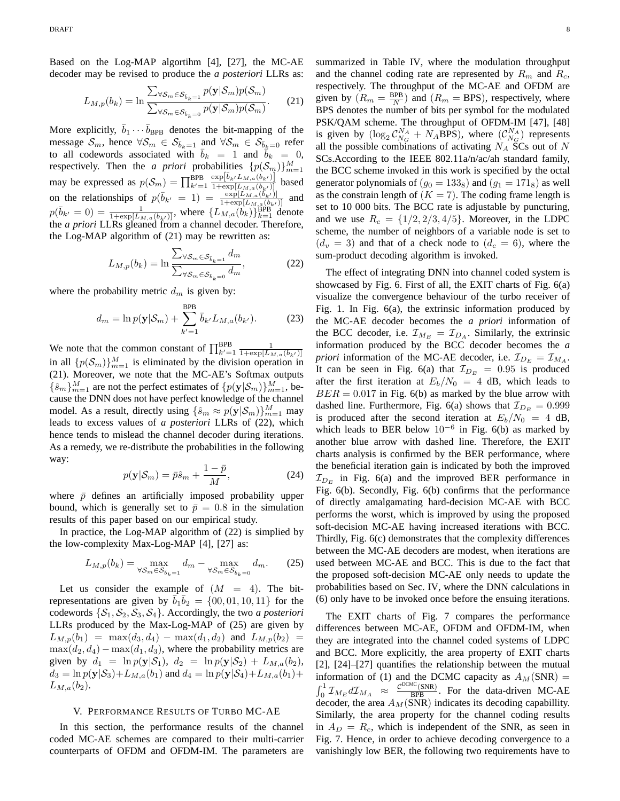Based on the Log-MAP algortihm [4], [27], the MC-AE decoder may be revised to produce the *a posteriori* LLRs as:

$$
L_{M,p}(b_k) = \ln \frac{\sum_{\forall S_m \in \mathcal{S}_{\bar{b}_k=1}} p(\mathbf{y}|\mathcal{S}_m) p(\mathcal{S}_m)}{\sum_{\forall S_m \in \mathcal{S}_{\bar{b}_k=0}} p(\mathbf{y}|\mathcal{S}_m) p(\mathcal{S}_m)}.
$$
 (21)

More explicitly,  $\bar{b}_1 \cdots \bar{b}_{\text{BPB}}$  denotes the bit-mapping of the message  $\mathcal{S}_m$ , hence  $\forall \mathcal{S}_m \in \mathcal{S}_{\bar{b}_k=1}$  and  $\forall \mathcal{S}_m \in \mathcal{S}_{\bar{b}_k=0}$  refer to all codewords associated with  $b_k = 1$  and  $b_k = 0$ , respectively. Then the *a priori* probabilities  $\{p(S_m)\}_{m=1}^M$ respectively. Then the *a priori* probabilities  $\{p(\mathcal{O}_m)\}_{m=1}^m$ <br>may be expressed as  $p(\mathcal{S}_m) = \prod_{k'=1}^{BPB} \frac{\exp[\bar{b}_k/L_{M,a}(b_{k'})]}{1 + \exp[L_{M,a}(b_{k'})]}$  based on the relationships of  $p(\bar{b}_{k'} = 1) = \frac{\exp[L_{M,a}(b_{k'})]}{1 + \exp[L_{M,a}(b_{k'})]}$  and  $p(\bar{b}_{k'} = 0) = \frac{1}{1 + \exp[L_{M,a}(b_{k'})]},$  where  $\{L_{M,a}(b_k)\}_{k=1}^{BPB}$  denote the *a priori* LLRs gleaned from a channel decoder. Therefore, the Log-MAP algorithm of (21) may be rewritten as:

$$
L_{M,p}(b_k) = \ln \frac{\sum_{\forall \mathcal{S}_m \in \mathcal{S}_{\bar{b}_k=1}} d_m}{\sum_{\forall \mathcal{S}_m \in \mathcal{S}_{\bar{b}_k=0}} d_m},\tag{22}
$$

where the probability metric  $d_m$  is given by:

$$
d_m = \ln p(\mathbf{y}|\mathcal{S}_m) + \sum_{k'=1}^{BPB} \bar{b}_{k'} L_{M,a}(b_{k'}).
$$
 (23)

We note that the common constant of  $\prod_{k'=1}^{BPB} \frac{1}{1+\exp[L_{M,a}(b_{k'})]}$ in all  $\{p(\mathcal{S}_m)\}_{m=1}^M$  is eliminated by the division operation in (21). Moreover, we note that the MC-AE's Softmax outputs  $\{\hat{s}_m\}_{m=1}^M$  are not the perfect estimates of  $\{p(\mathbf{y}|\mathcal{S}_m)\}_{m=1}^M$ , because the DNN does not have perfect knowledge of the channel model. As a result, directly using  $\{\hat{s}_m \approx p(\mathbf{y}|\mathcal{S}_m)\}_{m=1}^M$  may leads to excess values of *a posteriori* LLRs of (22), which hence tends to mislead the channel decoder during iterations. As a remedy, we re-distribute the probabilities in the following way:

$$
p(\mathbf{y}|\mathcal{S}_m) = \bar{p}\hat{s}_m + \frac{1-\bar{p}}{M},
$$
\n(24)

where  $\bar{p}$  defines an artificially imposed probability upper bound, which is generally set to  $\bar{p} = 0.8$  in the simulation results of this paper based on our empirical study.

In practice, the Log-MAP algorithm of (22) is simplied by the low-complexity Max-Log-MAP [4], [27] as:

$$
L_{M,p}(b_k) = \max_{\forall \mathcal{S}_m \in \mathcal{S}_{\delta_k = 1}} d_m - \max_{\forall \mathcal{S}_m \in \mathcal{S}_{\delta_k = 0}} d_m. \tag{25}
$$

Let us consider the example of  $(M = 4)$ . The bitrepresentations are given by  $\overline{b}_1 \overline{b}_2 = \{00, 01, 10, 11\}$  for the codewords  $\{S_1, S_2, S_3, S_4\}$ . Accordingly, the two *a posteriori* LLRs produced by the Max-Log-MAP of (25) are given by  $L_{M,p}(b_1) = \max(d_3, d_4) - \max(d_1, d_2)$  and  $L_{M,p}(b_2) =$  $\max(d_2,d_4) - \max(d_1,d_3)$ , where the probability metrics are given by  $d_1 = \ln p(\mathbf{y}|\mathcal{S}_1), d_2 = \ln p(\mathbf{y}|\mathcal{S}_2) + L_{M,a}(b_2),$  $d_3 = \ln p(\mathbf{y}|\mathcal{S}_3) + L_{M,a}(b_1)$  and  $d_4 = \ln p(\mathbf{y}|\mathcal{S}_4) + L_{M,a}(b_1) +$  $L_{M,a}(b_2)$ .

# V. PERFORMANCE RESULTS OF TURBO MC-AE

In this section, the performance results of the channel coded MC-AE schemes are compared to their multi-carrier counterparts of OFDM and OFDM-IM. The parameters are summarized in Table IV, where the modulation throughput and the channel coding rate are represented by  $R_m$  and  $R_c$ , respectively. The throughput of the MC-AE and OFDM are given by  $(R_m = \frac{BPB}{N})$  and  $(R_m = BPS)$ , respectively, where BPS denotes the number of bits per symbol for the modulated PSK/QAM scheme. The throughput of OFDM-IM [47], [48] is given by  $(\log_2 C_{N_G}^{N_A} + N_A \text{BPS})$ , where  $(C_{N_G}^{N_A})$  represents all the possible combinations of activating  $N_A$  SCs out of N SCs.According to the IEEE 802.11a/n/ac/ah standard family, the BCC scheme invoked in this work is specified by the octal generator polynomials of  $(g_0 = 133_8)$  and  $(g_1 = 171_8)$  as well as the constrain length of  $(K = 7)$ . The coding frame length is set to 10 000 bits. The BCC rate is adjustable by puncturing, and we use  $R_c = \{1/2, 2/3, 4/5\}$ . Moreover, in the LDPC scheme, the number of neighbors of a variable node is set to  $(d_v = 3)$  and that of a check node to  $(d_c = 6)$ , where the sum-product decoding algorithm is invoked.

The effect of integrating DNN into channel coded system is showcased by Fig. 6. First of all, the EXIT charts of Fig. 6(a) visualize the convergence behaviour of the turbo receiver of Fig. 1. In Fig. 6(a), the extrinsic information produced by the MC-AE decoder becomes the *a priori* information of the BCC decoder, i.e.  $\mathcal{I}_{M_E} = \mathcal{I}_{D_A}$ . Similarly, the extrinsic information produced by the BCC decoder becomes the *a priori* information of the MC-AE decoder, i.e.  $\mathcal{I}_{D_E} = \mathcal{I}_{M_A}$ . It can be seen in Fig. 6(a) that  $\mathcal{I}_{D_E} = 0.95$  is produced after the first iteration at  $E_b/N_0 = 4$  dB, which leads to  $BER = 0.017$  in Fig. 6(b) as marked by the blue arrow with dashed line. Furthermore, Fig. 6(a) shows that  $\mathcal{I}_{D_E} = 0.999$ is produced after the second iteration at  $E_b/N_0 = 4$  dB, which leads to BER below  $10^{-6}$  in Fig. 6(b) as marked by another blue arrow with dashed line. Therefore, the EXIT charts analysis is confirmed by the BER performance, where the beneficial iteration gain is indicated by both the improved  $\mathcal{I}_{D_E}$  in Fig. 6(a) and the improved BER performance in Fig. 6(b). Secondly, Fig. 6(b) confirms that the performance of directly amalgamating hard-decision MC-AE with BCC performs the worst, which is improved by using the proposed soft-decision MC-AE having increased iterations with BCC. Thirdly, Fig. 6(c) demonstrates that the complexity differences between the MC-AE decoders are modest, when iterations are used between MC-AE and BCC. This is due to the fact that the proposed soft-decision MC-AE only needs to update the probabilities based on Sec. IV, where the DNN calculations in (6) only have to be invoked once before the ensuing iterations.

The EXIT charts of Fig. 7 compares the performance differences between MC-AE, OFDM and OFDM-IM, when they are integrated into the channel coded systems of LDPC and BCC. More explicitly, the area property of EXIT charts [2], [24]–[27] quantifies the relationship between the mutual information of (1) and the DCMC capacity as  $A_M(SNR)$  =  $\int_0^1 \mathcal{I}_{M_E} d\mathcal{I}_{M_A} \approx \frac{\mathcal{C}^{\text{DCMC}}(\text{SNR})}{\text{BPB}}$ . For the data-driven MC-AE decoder, the area  $A_M(SNR)$  indicates its decoding capabillity. Similarly, the area property for the channel coding results in  $A_D = R_c$ , which is independent of the SNR, as seen in Fig. 7. Hence, in order to achieve decoding convergence to a vanishingly low BER, the following two requirements have to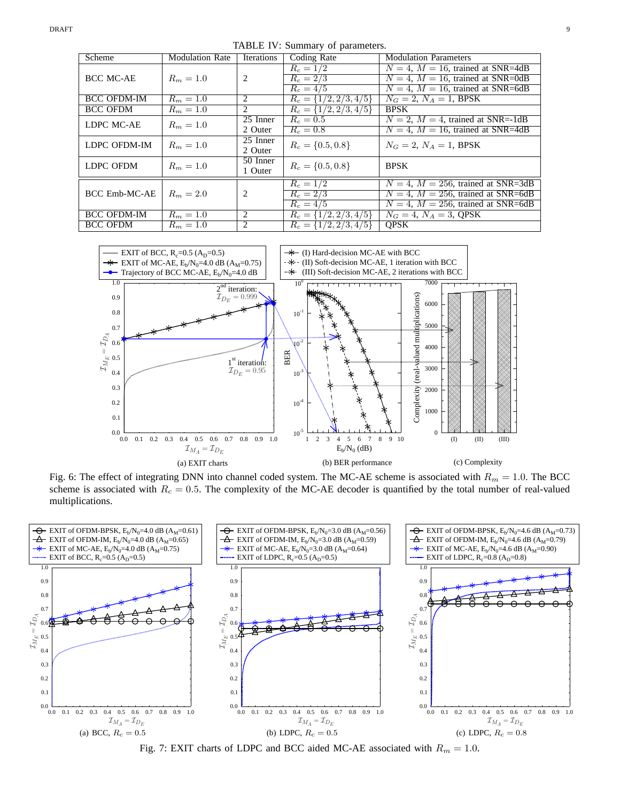TABLE IV: Summary of parameters.

| Scheme               | <b>Modulation Rate</b> | <b>Iterations</b>     | Coding Rate               | <b>Modulation Parameters</b>             |
|----------------------|------------------------|-----------------------|---------------------------|------------------------------------------|
|                      |                        |                       | $R_c = 1/2$               | $N = 4$ , $M = 16$ , trained at SNR=4dB  |
| <b>BCC MC-AE</b>     | $R_m = 1.0$            | 2                     | $R_c = 2/3$               | $N = 4$ , $M = 16$ , trained at SNR=0dB  |
|                      |                        |                       | $R_c = 4/5$               | $N = 4$ , $M = 16$ , trained at SNR=6dB  |
| <b>BCC OFDM-IM</b>   | $R_m = 1.0$            | 2                     | $R_c = \{1/2, 2/3, 4/5\}$ | $N_G = 2, N_A = 1$ , BPSK                |
| <b>BCC OFDM</b>      | $R_m = 1.0$            | 2                     | $R_c = \{1/2, 2/3, 4/5\}$ | <b>BPSK</b>                              |
| LDPC MC-AE           | $R_m = 1.0$            | 25 Inner              | $R_c = 0.5$               | $N = 2$ , $M = 4$ , trained at SNR=-1dB  |
|                      |                        | 2 Outer               | $R_c = 0.8$               | $N = 4$ , $M = 16$ , trained at SNR=4dB  |
| LDPC OFDM-IM         | $R_m = 1.0$            | $\overline{25}$ Inner | $R_c = \{0.5, 0.8\}$      | $N_G = 2, N_A = 1$ , BPSK                |
|                      |                        | 2 Outer               |                           |                                          |
| LDPC OFDM            | $R_m = 1.0$            | 50 Inner              | $R_c = \{0.5, 0.8\}$      | <b>BPSK</b>                              |
|                      |                        | 1 Outer               |                           |                                          |
|                      |                        |                       | $R_c = 1/2$               | $N = 4$ , $M = 256$ , trained at SNR=3dB |
| <b>BCC Emb-MC-AE</b> | $R_m = 2.0$            | 2                     | $R_c = 2/3$               | $N = 4$ , $M = 256$ , trained at SNR=6dB |
|                      |                        |                       | $R_c = 4/5$               | $N = 4$ , $M = 256$ , trained at SNR=6dB |
| <b>BCC OFDM-IM</b>   | $R_m = 1.0$            | 2                     | $R_c = \{1/2, 2/3, 4/5\}$ | $N_G = 4, N_A = 3,$ QPSK                 |
| <b>BCC OFDM</b>      | $R_m = 1.0$            | $\overline{c}$        | $R_c = \{1/2, 2/3, 4/5\}$ | <b>OPSK</b>                              |



Fig. 6: The effect of integrating DNN into channel coded system. The MC-AE scheme is associated with  $R_m = 1.0$ . The BCC scheme is associated with  $R_c = 0.5$ . The complexity of the MC-AE decoder is quantified by the total number of real-valued multiplications.



Fig. 7: EXIT charts of LDPC and BCC aided MC-AE associated with  $R_m = 1.0$ .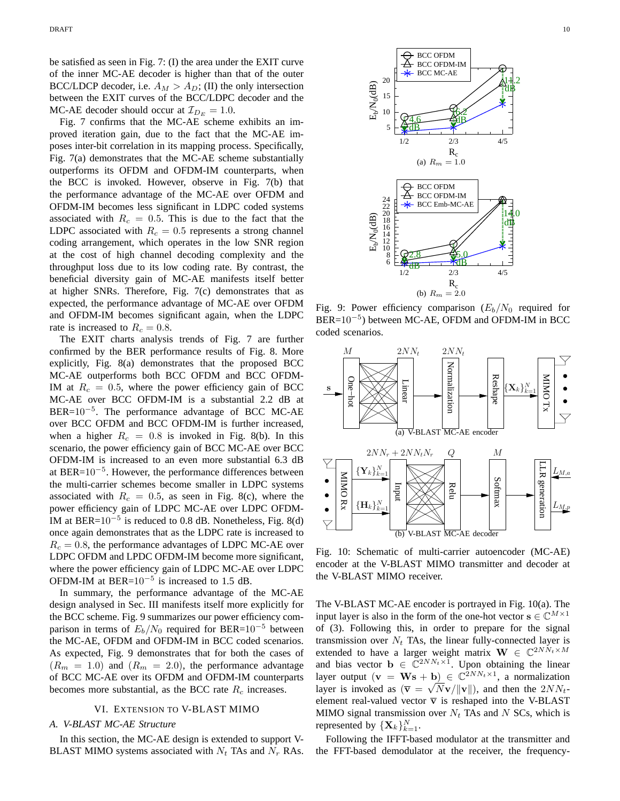be satisfied as seen in Fig. 7: (I) the area under the EXIT curve of the inner MC-AE decoder is higher than that of the outer BCC/LDCP decoder, i.e.  $A_M > A_D$ ; (II) the only intersection between the EXIT curves of the BCC/LDPC decoder and the MC-AE decoder should occur at  $\mathcal{I}_{D_E} = 1.0$ .

Fig. 7 confirms that the MC-AE scheme exhibits an improved iteration gain, due to the fact that the MC-AE imposes inter-bit correlation in its mapping process. Specifically, Fig. 7(a) demonstrates that the MC-AE scheme substantially outperforms its OFDM and OFDM-IM counterparts, when the BCC is invoked. However, observe in Fig. 7(b) that the performance advantage of the MC-AE over OFDM and OFDM-IM becomes less significant in LDPC coded systems associated with  $R_c = 0.5$ . This is due to the fact that the LDPC associated with  $R_c = 0.5$  represents a strong channel coding arrangement, which operates in the low SNR region at the cost of high channel decoding complexity and the throughput loss due to its low coding rate. By contrast, the beneficial diversity gain of MC-AE manifests itself better at higher SNRs. Therefore, Fig. 7(c) demonstrates that as expected, the performance advantage of MC-AE over OFDM and OFDM-IM becomes significant again, when the LDPC rate is increased to  $R_c = 0.8$ .

The EXIT charts analysis trends of Fig. 7 are further confirmed by the BER performance results of Fig. 8. More explicitly, Fig. 8(a) demonstrates that the proposed BCC MC-AE outperforms both BCC OFDM and BCC OFDM-IM at  $R_c = 0.5$ , where the power efficiency gain of BCC MC-AE over BCC OFDM-IM is a substantial 2.2 dB at BER=10<sup>-5</sup>. The performance advantage of BCC MC-AE over BCC OFDM and BCC OFDM-IM is further increased, when a higher  $R_c = 0.8$  is invoked in Fig. 8(b). In this scenario, the power efficiency gain of BCC MC-AE over BCC OFDM-IM is increased to an even more substantial 6.3 dB at BER= $10^{-5}$ . However, the performance differences between the multi-carrier schemes become smaller in LDPC systems associated with  $R_c = 0.5$ , as seen in Fig. 8(c), where the power efficiency gain of LDPC MC-AE over LDPC OFDM-IM at BER= $10^{-5}$  is reduced to 0.8 dB. Nonetheless, Fig. 8(d) once again demonstrates that as the LDPC rate is increased to  $R_c = 0.8$ , the performance advantages of LDPC MC-AE over LDPC OFDM and LPDC OFDM-IM become more significant, where the power efficiency gain of LDPC MC-AE over LDPC OFDM-IM at BER= $10^{-5}$  is increased to 1.5 dB.

In summary, the performance advantage of the MC-AE design analysed in Sec. III manifests itself more explicitly for the BCC scheme. Fig. 9 summarizes our power efficiency comparison in terms of  $E_b/N_0$  required for BER=10<sup>-5</sup> between the MC-AE, OFDM and OFDM-IM in BCC coded scenarios. As expected, Fig. 9 demonstrates that for both the cases of  $(R_m = 1.0)$  and  $(R_m = 2.0)$ , the performance advantage of BCC MC-AE over its OFDM and OFDM-IM counterparts becomes more substantial, as the BCC rate  $R_c$  increases.

## VI. EXTENSION TO V-BLAST MIMO

# *A. V-BLAST MC-AE Structure*

In this section, the MC-AE design is extended to support V-BLAST MIMO systems associated with  $N_t$  TAs and  $N_r$  RAs.



Fig. 9: Power efficiency comparison  $(E_b/N_0$  required for  $BER=10^{-5}$ ) between MC-AE, OFDM and OFDM-IM in BCC coded scenarios.



Fig. 10: Schematic of multi-carrier autoencoder (MC-AE) encoder at the V-BLAST MIMO transmitter and decoder at the V-BLAST MIMO receiver.

The V-BLAST MC-AE encoder is portrayed in Fig. 10(a). The input layer is also in the form of the one-hot vector  $\mathbf{s} \in \mathbb{C}^{M \times 1}$ of (3). Following this, in order to prepare for the signal transmission over  $N_t$  TAs, the linear fully-connected layer is extended to have a larger weight matrix  $\mathbf{W} \in \mathbb{C}^{2NN_t \times M}$ and bias vector  $\mathbf{b} \in \mathbb{C}^{2NN_t \times 1}$ . Upon obtaining the linear layer output  $(v = Ws + b) \in \mathbb{C}^{2NN_t \times 1}$ , a normalization layer is invoked as  $(\overline{v} = \sqrt{N}v/||v||)$ , and then the  $2NN_t$ element real-valued vector  $\overline{v}$  is reshaped into the V-BLAST MIMO signal transmission over  $N_t$  TAs and N SCs, which is represented by  $\{\mathbf X_k\}_{k=1}^N$ .

Following the IFFT-based modulator at the transmitter and the FFT-based demodulator at the receiver, the frequency-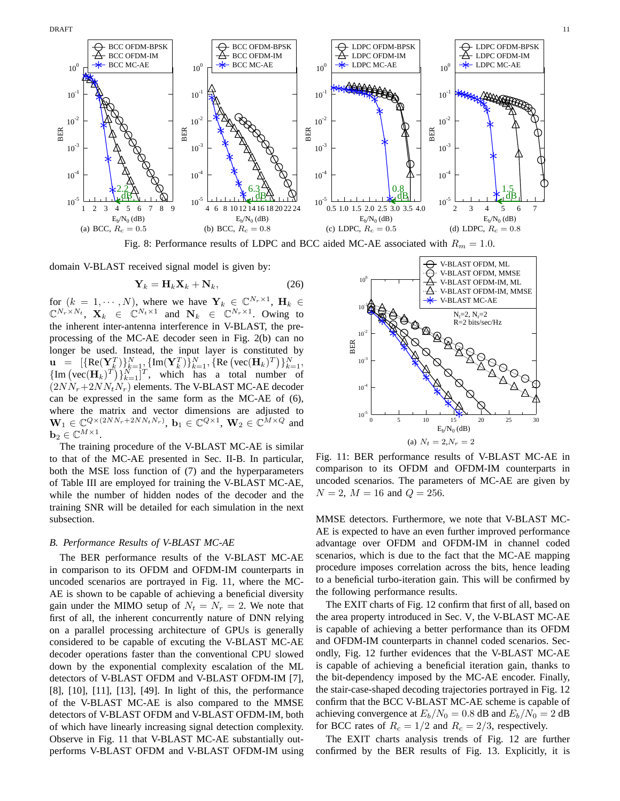

Fig. 8: Performance results of LDPC and BCC aided MC-AE associated with  $R_m = 1.0$ .

domain V-BLAST received signal model is given by:

$$
\mathbf{Y}_k = \mathbf{H}_k \mathbf{X}_k + \mathbf{N}_k, \tag{26}
$$

for  $(k = 1, \dots, N)$ , where we have  $\mathbf{Y}_k \in \mathbb{C}^{N_r \times 1}$ ,  $\mathbf{H}_k \in \mathbb{C}^{N_r \times 1}$  $\mathbb{C}^{N_r \times N_t}$ ,  $\mathbf{X}_k \in \mathbb{C}^{N_t \times 1}$  and  $\mathbf{N}_k \in \mathbb{C}^{N_r \times 1}$ . Owing to the inherent inter-antenna interference in V-BLAST, the preprocessing of the MC-AE decoder seen in Fig. 2(b) can no longer be used. Instead, the input layer is constituted by  $\mathbf{u} = [\{ \text{Re}(\mathbf{Y}_k^T) \}_{k=1}^N, \{ \text{Im}(\mathbf{Y}_k^T) \}_{k=1}^N, \{ \text{Re}(\text{vec}(\mathbf{H}_k)^T) \}_{k=1}^N, \}$  $\{Im\left( \text{vec}(\mathbf{H}_k)^T \right) \}_{k=1}^N$ ]<sup>T</sup>, which has a total number of  $(2NN_r+2NN_tN_r)$  elements. The V-BLAST MC-AE decoder can be expressed in the same form as the MC-AE of (6), where the matrix and vector dimensions are adjusted to  $\mathbf{W}_1 \in \mathbb{C}^{Q \times (2NN_r + 2NN_tN_r)}$ ,  $\mathbf{b}_1 \in \mathbb{C}^{Q \times 1}$ ,  $\mathbf{W}_2 \in \mathbb{C}^{M \times Q}$  and  $\mathbf{b}_2 \in \mathbb{C}^{M \times 1}$ .

The training procedure of the V-BLAST MC-AE is similar to that of the MC-AE presented in Sec. II-B. In particular, both the MSE loss function of (7) and the hyperparameters of Table III are employed for training the V-BLAST MC-AE, while the number of hidden nodes of the decoder and the training SNR will be detailed for each simulation in the next subsection.

#### *B. Performance Results of V-BLAST MC-AE*

The BER performance results of the V-BLAST MC-AE in comparison to its OFDM and OFDM-IM counterparts in uncoded scenarios are portrayed in Fig. 11, where the MC-AE is shown to be capable of achieving a beneficial diversity gain under the MIMO setup of  $N_t = N_r = 2$ . We note that first of all, the inherent concurrently nature of DNN relying on a parallel processing architecture of GPUs is generally considered to be capable of excuting the V-BLAST MC-AE decoder operations faster than the conventional CPU slowed down by the exponential complexity escalation of the ML detectors of V-BLAST OFDM and V-BLAST OFDM-IM [7], [8], [10], [11], [13], [49]. In light of this, the performance of the V-BLAST MC-AE is also compared to the MMSE detectors of V-BLAST OFDM and V-BLAST OFDM-IM, both of which have linearly increasing signal detection complexity. Observe in Fig. 11 that V-BLAST MC-AE substantially outperforms V-BLAST OFDM and V-BLAST OFDM-IM using



Fig. 11: BER performance results of V-BLAST MC-AE in comparison to its OFDM and OFDM-IM counterparts in uncoded scenarios. The parameters of MC-AE are given by  $N = 2$ ,  $M = 16$  and  $Q = 256$ .

MMSE detectors. Furthermore, we note that V-BLAST MC-AE is expected to have an even further improved performance advantage over OFDM and OFDM-IM in channel coded scenarios, which is due to the fact that the MC-AE mapping procedure imposes correlation across the bits, hence leading to a beneficial turbo-iteration gain. This will be confirmed by the following performance results.

The EXIT charts of Fig. 12 confirm that first of all, based on the area property introduced in Sec. V, the V-BLAST MC-AE is capable of achieving a better performance than its OFDM and OFDM-IM counterparts in channel coded scenarios. Secondly, Fig. 12 further evidences that the V-BLAST MC-AE is capable of achieving a beneficial iteration gain, thanks to the bit-dependency imposed by the MC-AE encoder. Finally, the stair-case-shaped decoding trajectories portrayed in Fig. 12 confirm that the BCC V-BLAST MC-AE scheme is capable of achieving convergence at  $E_b/N_0 = 0.8$  dB and  $E_b/N_0 = 2$  dB for BCC rates of  $R_c = 1/2$  and  $R_c = 2/3$ , respectively.

The EXIT charts analysis trends of Fig. 12 are further confirmed by the BER results of Fig. 13. Explicitly, it is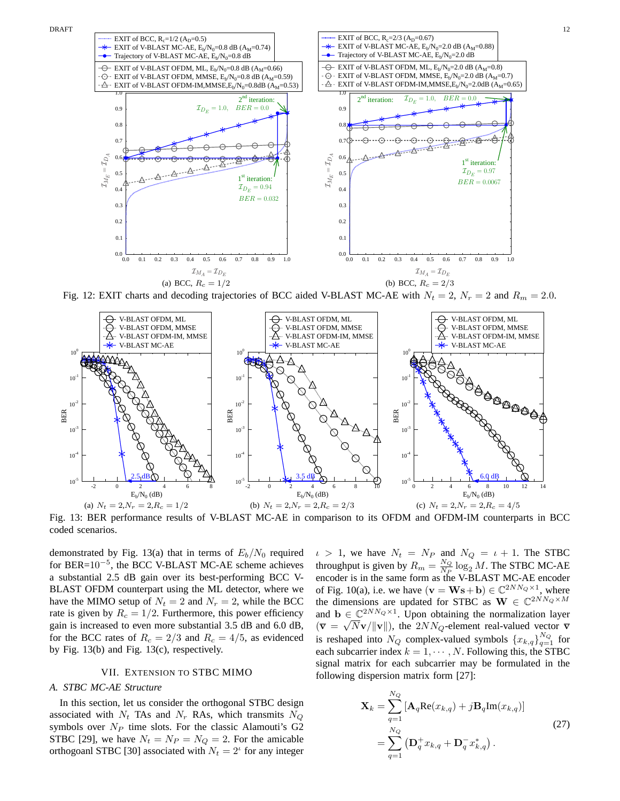

Fig. 12: EXIT charts and decoding trajectories of BCC aided V-BLAST MC-AE with  $N_t = 2$ ,  $N_r = 2$  and  $R_m = 2.0$ .



Fig. 13: BER performance results of V-BLAST MC-AE in comparison to its OFDM and OFDM-IM counterparts in BCC coded scenarios.

demonstrated by Fig. 13(a) that in terms of  $E_b/N_0$  required for  $BER=10^{-5}$ , the BCC V-BLAST MC-AE scheme achieves a substantial 2.5 dB gain over its best-performing BCC V-BLAST OFDM counterpart using the ML detector, where we have the MIMO setup of  $N_t = 2$  and  $N_r = 2$ , while the BCC rate is given by  $R_c = 1/2$ . Furthermore, this power efficiency gain is increased to even more substantial 3.5 dB and 6.0 dB, for the BCC rates of  $R_c = 2/3$  and  $R_c = 4/5$ , as evidenced by Fig. 13(b) and Fig. 13(c), respectively.

# VII. EXTENSION TO STBC MIMO

# *A. STBC MC-AE Structure*

In this section, let us consider the orthogonal STBC design associated with  $N_t$  TAs and  $N_r$  RAs, which transmits  $N_Q$ symbols over  $N_P$  time slots. For the classic Alamouti's G2 STBC [29], we have  $N_t = N_P = N_Q = 2$ . For the amicable orthogoanl STBC [30] associated with  $N_t = 2^t$  for any integer  $\iota > 1$ , we have  $N_t = N_P$  and  $N_Q = \iota + 1$ . The STBC throughput is given by  $R_m = \frac{N_Q}{N_P}$  $\frac{NQ}{N_P} \log_2 M$ . The STBC MC-AE encoder is in the same form as the V-BLAST MC-AE encoder of Fig. 10(a), i.e. we have  $(\mathbf{v} = \mathbf{W}\mathbf{s} + \mathbf{b}) \in \mathbb{C}^{2NN_Q \times 1}$ , where the dimensions are updated for STBC as  $\mathbf{W} \in \mathbb{C}^{2NN_Q \times M}$ and  $\mathbf{b} \in \mathbb{C}^{2NN_Q \times 1}$ . Upon obtaining the normalization layer  $(\overline{v} = \sqrt{N}v/\Vert v \Vert)$ , the 2NN<sub>Q</sub>-element real-valued vector  $\overline{v}$ is reshaped into  $N_Q$  complex-valued symbols  $\{x_{k,q}\}_{q=1}^{N_Q}$  for each subcarrier index  $k = 1, \cdots, N$ . Following this, the STBC signal matrix for each subcarrier may be formulated in the following dispersion matrix form [27]:

$$
\mathbf{X}_{k} = \sum_{q=1}^{N_{Q}} \left[ \mathbf{A}_{q} \text{Re}(x_{k,q}) + j \mathbf{B}_{q} \text{Im}(x_{k,q}) \right]
$$
  
= 
$$
\sum_{q=1}^{N_{Q}} \left( \mathbf{D}_{q}^{+} x_{k,q} + \mathbf{D}_{q}^{-} x_{k,q}^{*} \right).
$$
 (27)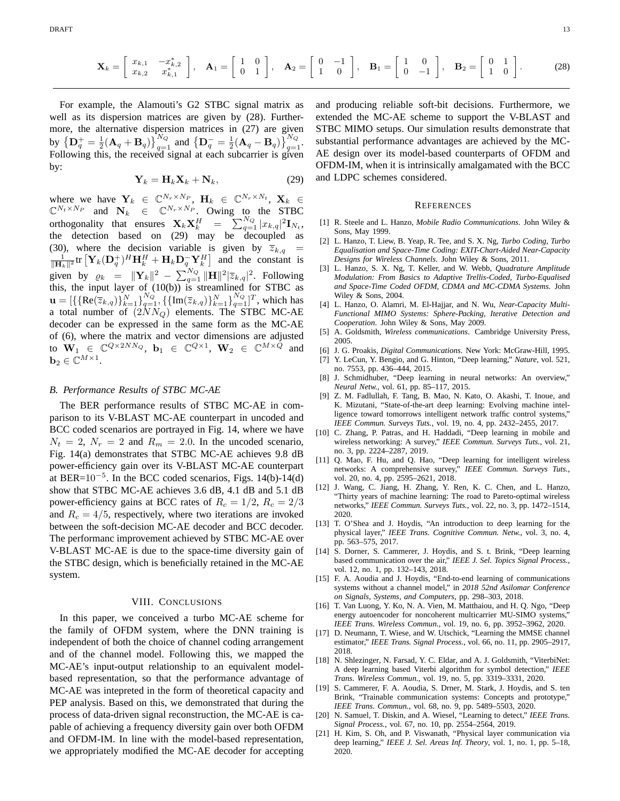$$
\mathbf{X}_{k} = \begin{bmatrix} x_{k,1} & -x_{k,2}^{*} \\ x_{k,2} & x_{k,1}^{*} \end{bmatrix}, \quad \mathbf{A}_{1} = \begin{bmatrix} 1 & 0 \\ 0 & 1 \end{bmatrix}, \quad \mathbf{A}_{2} = \begin{bmatrix} 0 & -1 \\ 1 & 0 \end{bmatrix}, \quad \mathbf{B}_{1} = \begin{bmatrix} 1 & 0 \\ 0 & -1 \end{bmatrix}, \quad \mathbf{B}_{2} = \begin{bmatrix} 0 & 1 \\ 1 & 0 \end{bmatrix}.
$$
 (28)

For example, the Alamouti's G2 STBC signal matrix as well as its dispersion matrices are given by (28). Furthermore, the alternative dispersion matrices in (27) are given by  $\left\{ \mathbf{D}_{q}^{+}=\frac{1}{2}(\mathbf{A}_{q}+\mathbf{B}_{q}) \right\} _{q=1}^{N_{Q}}$  and  $\left\{ \mathbf{D}_{q}^{-}=\frac{1}{2}(\mathbf{A}_{q}-\mathbf{B}_{q}) \right\} _{q=1}^{N_{Q}}$ . Following this, the received signal at each subcarrier is given by:

$$
\mathbf{Y}_k = \mathbf{H}_k \mathbf{X}_k + \mathbf{N}_k, \tag{29}
$$

where we have  $\mathbf{Y}_k \in \mathbb{C}^{N_r \times N_p}$ ,  $\mathbf{H}_k \in \mathbb{C}^{N_r \times N_t}$ ,  $\mathbf{X}_k \in \mathbb{C}^{N_t \times N_p}$  and  $\mathbf{N}_k \in \mathbb{C}^{N_r \times N_p}$ . Owing to the STBC orthogonality that ensures  $\mathbf{X}_k \mathbf{X}_k^H = \sum_{q=1}^{N_Q} |x_{k,q}|^2 \mathbf{I}_{N_t}$ , the detection based on (29) may be decoupled as (30), where the decision variable is given by  $\overline{z}_{k,q}$  $\frac{1}{\|\mathbf{H}_k\|^2}$ tr  $[\mathbf{Y}_k(\mathbf{D}_q^+)^H \mathbf{H}_k^H + \mathbf{H}_k \mathbf{D}_q^- \mathbf{Y}_k^H]$  and the constant is given by  $\varrho_k = ||\mathbf{Y}_k||^2 - \sum_{q=1}^{N_Q} ||\mathbf{H}||^2 |\overline{z}_{k,q}|^2$ . Following this, the input layer of (10(b)) is streamlined for STBC as  $\mathbf{u} = [\{\{\text{Re}(\overline{z}_{k,q})\}_{k=1}^{N}\}_{q=1}^{N_Q}, \{\{\text{Im}(\overline{z}_{k,q})\}_{k=1}^{N}\}_{q=1}^{N_Q}]^T$ , which has a total number of  $(2NN_Q)$  elements. The STBC MC-AE decoder can be expressed in the same form as the MC-AE of (6), where the matrix and vector dimensions are adjusted to  $\mathbf{W}_1 \in \mathbb{C}^{Q \times 2NN_Q}$ ,  $\mathbf{b}_1 \in \mathbb{C}^{Q \times 1}$ ,  $\mathbf{W}_2 \in \mathbb{C}^{M \times Q}$  and  $\mathbf{b}_2 \in \mathbb{C}^{M \times 1}$ .

# *B. Performance Results of STBC MC-AE*

The BER performance results of STBC MC-AE in comparison to its V-BLAST MC-AE counterpart in uncoded and BCC coded scenarios are portrayed in Fig. 14, where we have  $N_t = 2$ ,  $N_r = 2$  and  $R_m = 2.0$ . In the uncoded scenario, Fig. 14(a) demonstrates that STBC MC-AE achieves 9.8 dB power-efficiency gain over its V-BLAST MC-AE counterpart at BER= $10^{-5}$ . In the BCC coded scenarios, Figs. 14(b)-14(d) show that STBC MC-AE achieves 3.6 dB, 4.1 dB and 5.1 dB power-efficiency gains at BCC rates of  $R_c = 1/2$ ,  $R_c = 2/3$ and  $R_c = 4/5$ , respectively, where two iterations are invoked between the soft-decision MC-AE decoder and BCC decoder. The performanc improvement achieved by STBC MC-AE over V-BLAST MC-AE is due to the space-time diversity gain of the STBC design, which is beneficially retained in the MC-AE system.

#### VIII. CONCLUSIONS

In this paper, we conceived a turbo MC-AE scheme for the family of OFDM system, where the DNN training is independent of both the choice of channel coding arrangement and of the channel model. Following this, we mapped the MC-AE's input-output relationship to an equivalent modelbased representation, so that the performance advantage of MC-AE was intepreted in the form of theoretical capacity and PEP analysis. Based on this, we demonstrated that during the process of data-driven signal reconstruction, the MC-AE is capable of achieving a frequency diversity gain over both OFDM and OFDM-IM. In line with the model-based representation, we appropriately modified the MC-AE decoder for accepting and producing reliable soft-bit decisions. Furthermore, we extended the MC-AE scheme to support the V-BLAST and STBC MIMO setups. Our simulation results demonstrate that substantial performance advantages are achieved by the MC-AE design over its model-based counterparts of OFDM and OFDM-IM, when it is intrinsically amalgamated with the BCC and LDPC schemes considered.

#### **REFERENCES**

- [1] R. Steele and L. Hanzo, *Mobile Radio Communications*. John Wiley & Sons, May 1999.
- [2] L. Hanzo, T. Liew, B. Yeap, R. Tee, and S. X. Ng, *Turbo Coding, Turbo Equalisation and Space-Time Coding: EXIT-Chart-Aided Near-Capacity Designs for Wireless Channels*. John Wiley & Sons, 2011.
- [3] L. Hanzo, S. X. Ng, T. Keller, and W. Webb, *Quadrature Amplitude Modulation: From Basics to Adaptive Trellis-Coded, Turbo-Equalised and Space-Time Coded OFDM, CDMA and MC-CDMA Systems*. John Wiley & Sons, 2004.
- [4] L. Hanzo, O. Alamri, M. El-Hajjar, and N. Wu, *Near-Capacity Multi-Functional MIMO Systems: Sphere-Packing, Iterative Detection and Cooperation*. John Wiley & Sons, May 2009.
- [5] A. Goldsmith, *Wireless communications*. Cambridge University Press, 2005.
- [6] J. G. Proakis, *Digital Communications*. New York: McGraw-Hill, 1995.
- [7] Y. LeCun, Y. Bengio, and G. Hinton, "Deep learning," *Nature*, vol. 521, no. 7553, pp. 436–444, 2015.
- [8] J. Schmidhuber, "Deep learning in neural networks: An overview," *Neural Netw.*, vol. 61, pp. 85–117, 2015.
- [9] Z. M. Fadlullah, F. Tang, B. Mao, N. Kato, O. Akashi, T. Inoue, and K. Mizutani, "State-of-the-art deep learning: Evolving machine intelligence toward tomorrows intelligent network traffic control systems," *IEEE Commun. Surveys Tuts.*, vol. 19, no. 4, pp. 2432–2455, 2017.
- [10] C. Zhang, P. Patras, and H. Haddadi, "Deep learning in mobile and wireless networking: A survey," *IEEE Commun. Surveys Tuts.*, vol. 21, no. 3, pp. 2224–2287, 2019.
- [11] Q. Mao, F. Hu, and Q. Hao, "Deep learning for intelligent wireless networks: A comprehensive survey," *IEEE Commun. Surveys Tuts.*, vol. 20, no. 4, pp. 2595–2621, 2018.
- [12] J. Wang, C. Jiang, H. Zhang, Y. Ren, K. C. Chen, and L. Hanzo, "Thirty years of machine learning: The road to Pareto-optimal wireless networks," *IEEE Commun. Surveys Tuts.*, vol. 22, no. 3, pp. 1472–1514, 2020.
- [13] T. O'Shea and J. Hoydis, "An introduction to deep learning for the physical layer," *IEEE Trans. Cognitive Commun. Netw.*, vol. 3, no. 4, pp. 563–575, 2017.
- [14] S. Dorner, S. Cammerer, J. Hoydis, and S. t. Brink, "Deep learning based communication over the air," *IEEE J. Sel. Topics Signal Process.*, vol. 12, no. 1, pp. 132–143, 2018.
- [15] F. A. Aoudia and J. Hoydis, "End-to-end learning of communications systems without a channel model," in *2018 52nd Asilomar Conference on Signals, Systems, and Computers*, pp. 298–303, 2018.
- [16] T. Van Luong, Y. Ko, N. A. Vien, M. Matthaiou, and H. Q. Ngo, "Deep energy autoencoder for noncoherent multicarrier MU-SIMO systems," *IEEE Trans. Wireless Commun.*, vol. 19, no. 6, pp. 3952–3962, 2020.
- [17] D. Neumann, T. Wiese, and W. Utschick, "Learning the MMSE channel estimator," *IEEE Trans. Signal Process.*, vol. 66, no. 11, pp. 2905–2917, 2018.
- [18] N. Shlezinger, N. Farsad, Y. C. Eldar, and A. J. Goldsmith. "ViterbiNet: A deep learning based Viterbi algorithm for symbol detection," *IEEE Trans. Wireless Commun.*, vol. 19, no. 5, pp. 3319–3331, 2020.
- [19] S. Cammerer, F. A. Aoudia, S. Drner, M. Stark, J. Hoydis, and S. ten Brink, "Trainable communication systems: Concepts and prototype," *IEEE Trans. Commun.*, vol. 68, no. 9, pp. 5489–5503, 2020.
- [20] N. Samuel, T. Diskin, and A. Wiesel, "Learning to detect," *IEEE Trans. Signal Process.*, vol. 67, no. 10, pp. 2554–2564, 2019.
- [21] H. Kim, S. Oh, and P. Viswanath, "Physical layer communication via deep learning," *IEEE J. Sel. Areas Inf. Theory*, vol. 1, no. 1, pp. 5–18, 2020.